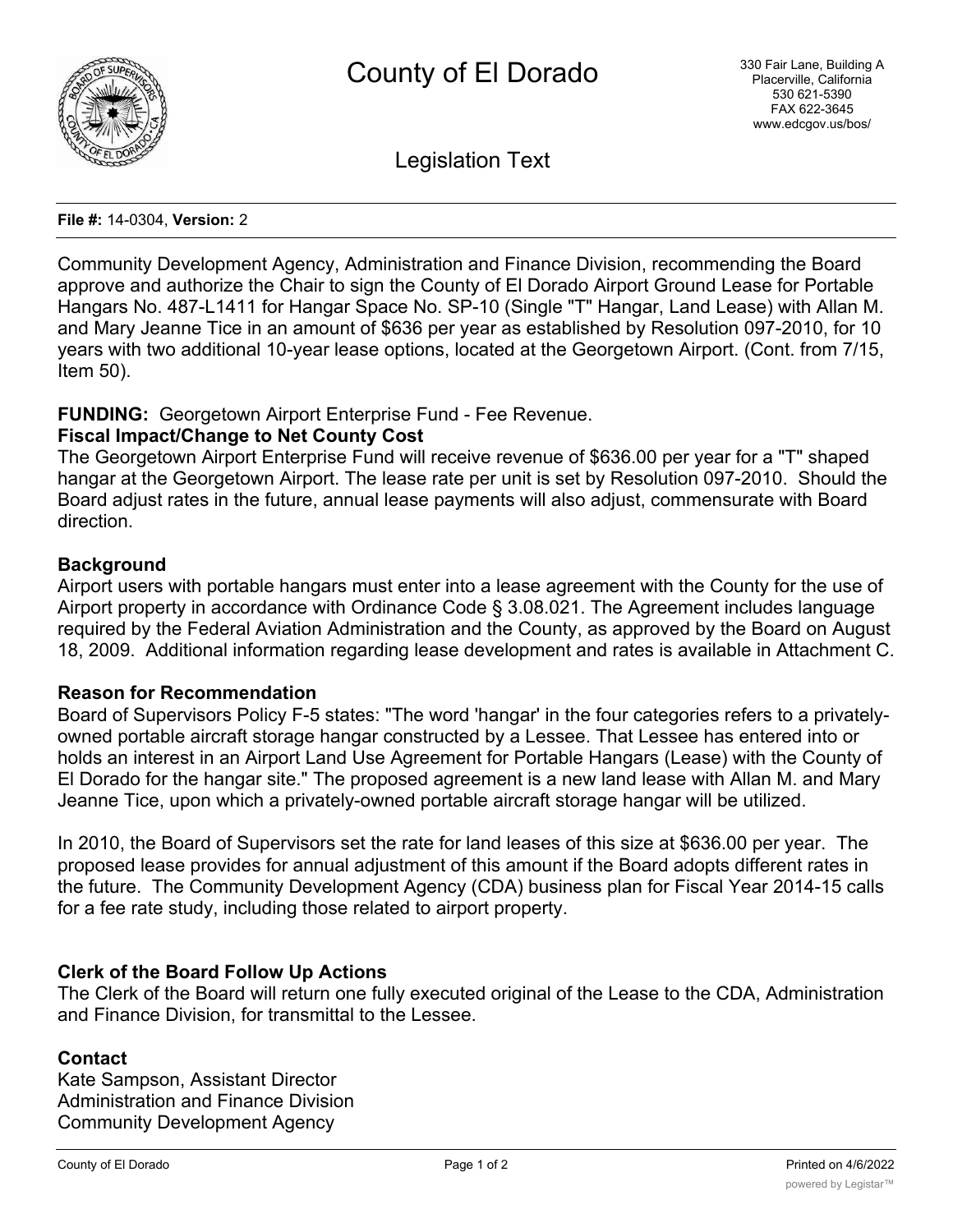

Legislation Text

#### **File #:** 14-0304, **Version:** 2

Community Development Agency, Administration and Finance Division, recommending the Board approve and authorize the Chair to sign the County of El Dorado Airport Ground Lease for Portable Hangars No. 487-L1411 for Hangar Space No. SP-10 (Single "T" Hangar, Land Lease) with Allan M. and Mary Jeanne Tice in an amount of \$636 per year as established by Resolution 097-2010, for 10 years with two additional 10-year lease options, located at the Georgetown Airport. (Cont. from 7/15, Item 50).

### **FUNDING:** Georgetown Airport Enterprise Fund - Fee Revenue.

## **Fiscal Impact/Change to Net County Cost**

The Georgetown Airport Enterprise Fund will receive revenue of \$636.00 per year for a "T" shaped hangar at the Georgetown Airport. The lease rate per unit is set by Resolution 097-2010. Should the Board adjust rates in the future, annual lease payments will also adjust, commensurate with Board direction.

### **Background**

Airport users with portable hangars must enter into a lease agreement with the County for the use of Airport property in accordance with Ordinance Code § 3.08.021. The Agreement includes language required by the Federal Aviation Administration and the County, as approved by the Board on August 18, 2009. Additional information regarding lease development and rates is available in Attachment C.

### **Reason for Recommendation**

Board of Supervisors Policy F-5 states: "The word 'hangar' in the four categories refers to a privatelyowned portable aircraft storage hangar constructed by a Lessee. That Lessee has entered into or holds an interest in an Airport Land Use Agreement for Portable Hangars (Lease) with the County of El Dorado for the hangar site." The proposed agreement is a new land lease with Allan M. and Mary Jeanne Tice, upon which a privately-owned portable aircraft storage hangar will be utilized.

In 2010, the Board of Supervisors set the rate for land leases of this size at \$636.00 per year. The proposed lease provides for annual adjustment of this amount if the Board adopts different rates in the future. The Community Development Agency (CDA) business plan for Fiscal Year 2014-15 calls for a fee rate study, including those related to airport property.

### **Clerk of the Board Follow Up Actions**

The Clerk of the Board will return one fully executed original of the Lease to the CDA, Administration and Finance Division, for transmittal to the Lessee.

### **Contact**

Kate Sampson, Assistant Director Administration and Finance Division Community Development Agency